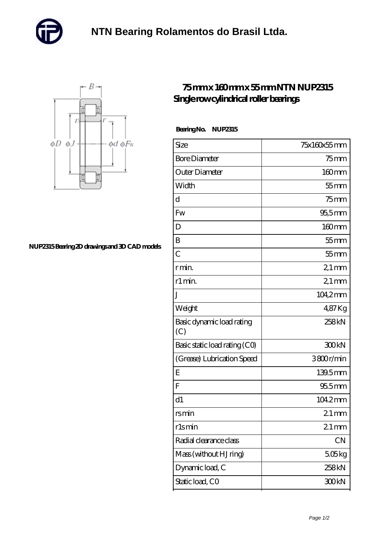



## **[NUP2315 Bearing 2D drawings and 3D CAD models](https://m.cadgwithtoo.com/pic-64982779.html)**

## **[75 mm x 160 mm x 55 mm NTN NUP2315](https://m.cadgwithtoo.com/bb-64982779-ntn-nup2315-single-row-cylindrical-roller-bearings.html) [Single row cylindrical roller bearings](https://m.cadgwithtoo.com/bb-64982779-ntn-nup2315-single-row-cylindrical-roller-bearings.html)**

 **Bearing No. NUP2315**

| Size                             | 75x160x55mm        |
|----------------------------------|--------------------|
| <b>Bore Diameter</b>             | $75$ mm            |
| Outer Diameter                   | 160mm              |
| Width                            | $55$ mm            |
| d                                | $75$ mm            |
| Fw                               | $95,5$ mm          |
| D                                | $160 \text{mm}$    |
| B                                | $55$ mm            |
| $\overline{C}$                   | $55$ mm            |
| r min.                           | $21 \,\mathrm{mm}$ |
| r1 min.                          | $21 \,\mathrm{mm}$ |
| J                                | $104.2$ mm         |
| Weight                           | 487Kg              |
| Basic dynamic load rating<br>(C) | 258kN              |
| Basic static load rating (CO)    | 300kN              |
| (Grease) Lubrication Speed       | 3800r/min          |
| E                                | 139.5mm            |
| F                                | $955$ mm           |
| d1                               | 104.2mm            |
| <u>rsmin</u>                     | $21 \,\mathrm{mm}$ |
| rlsmin                           | $21$ mm            |
| Radial clearance class           | <b>CN</b>          |
| Mass (without HJ ring)           | 506kg              |
| Dynamic load, C                  | 258 <sub>kN</sub>  |
| Static load, CO                  | 300kN              |
|                                  |                    |